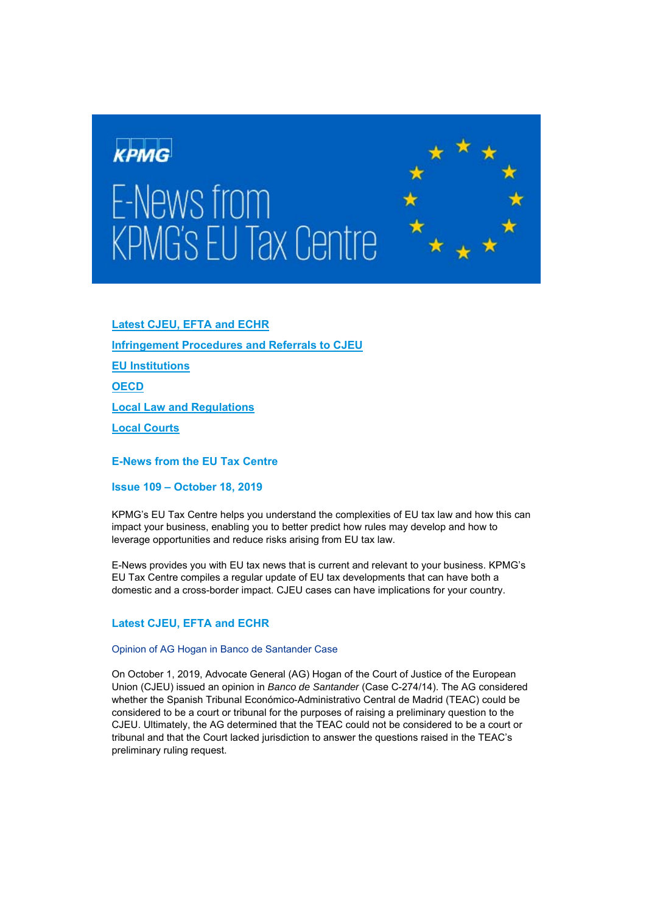

# E-News from **KPMG's EU Tax Centre**



**Latest CJEU, EFTA and ECHR Infringement Procedures and Referrals to CJEU EU Institutions OECD Local Law and Regulations Local Courts** 

**E-News from the EU Tax Centre** 

**Issue 109 – October 18, 2019** 

KPMG's EU Tax Centre helps you understand the complexities of EU tax law and how this can impact your business, enabling you to better predict how rules may develop and how to leverage opportunities and reduce risks arising from EU tax law.

E-News provides you with EU tax news that is current and relevant to your business. KPMG's EU Tax Centre compiles a regular update of EU tax developments that can have both a domestic and a cross-border impact. CJEU cases can have implications for your country.

# **Latest CJEU, EFTA and ECHR**

# Opinion of AG Hogan in Banco de Santander Case

On October 1, 2019, Advocate General (AG) Hogan of the Court of Justice of the European Union (CJEU) issued an opinion in *Banco de Santander* (Case C-274/14). The AG considered whether the Spanish Tribunal Económico-Administrativo Central de Madrid (TEAC) could be considered to be a court or tribunal for the purposes of raising a preliminary question to the CJEU. Ultimately, the AG determined that the TEAC could not be considered to be a court or tribunal and that the Court lacked jurisdiction to answer the questions raised in the TEAC's preliminary ruling request.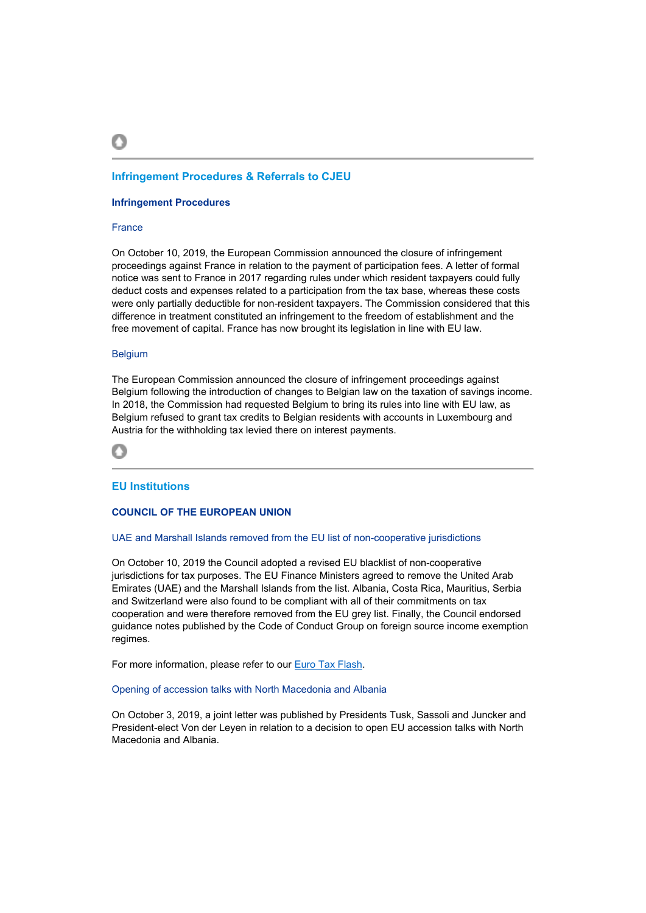# **Infringement Procedures & Referrals to CJEU**

### **Infringement Procedures**

### France

On October 10, 2019, the European Commission announced the closure of infringement proceedings against France in relation to the payment of participation fees. A letter of formal notice was sent to France in 2017 regarding rules under which resident taxpayers could fully deduct costs and expenses related to a participation from the tax base, whereas these costs were only partially deductible for non-resident taxpayers. The Commission considered that this difference in treatment constituted an infringement to the freedom of establishment and the free movement of capital. France has now brought its legislation in line with EU law.

# Belgium

The European Commission announced the closure of infringement proceedings against Belgium following the introduction of changes to Belgian law on the taxation of savings income. In 2018, the Commission had requested Belgium to bring its rules into line with EU law, as Belgium refused to grant tax credits to Belgian residents with accounts in Luxembourg and Austria for the withholding tax levied there on interest payments.



# **EU Institutions**

# **COUNCIL OF THE EUROPEAN UNION**

### UAE and Marshall Islands removed from the EU list of non-cooperative jurisdictions

On October 10, 2019 the Council adopted a revised EU blacklist of non-cooperative jurisdictions for tax purposes. The EU Finance Ministers agreed to remove the United Arab Emirates (UAE) and the Marshall Islands from the list. Albania, Costa Rica, Mauritius, Serbia and Switzerland were also found to be compliant with all of their commitments on tax cooperation and were therefore removed from the EU grey list. Finally, the Council endorsed guidance notes published by the Code of Conduct Group on foreign source income exemption regimes.

For more information, please refer to our Euro Tax Flash.

### Opening of accession talks with North Macedonia and Albania

On October 3, 2019, a joint letter was published by Presidents Tusk, Sassoli and Juncker and President-elect Von der Leyen in relation to a decision to open EU accession talks with North Macedonia and Albania.

റ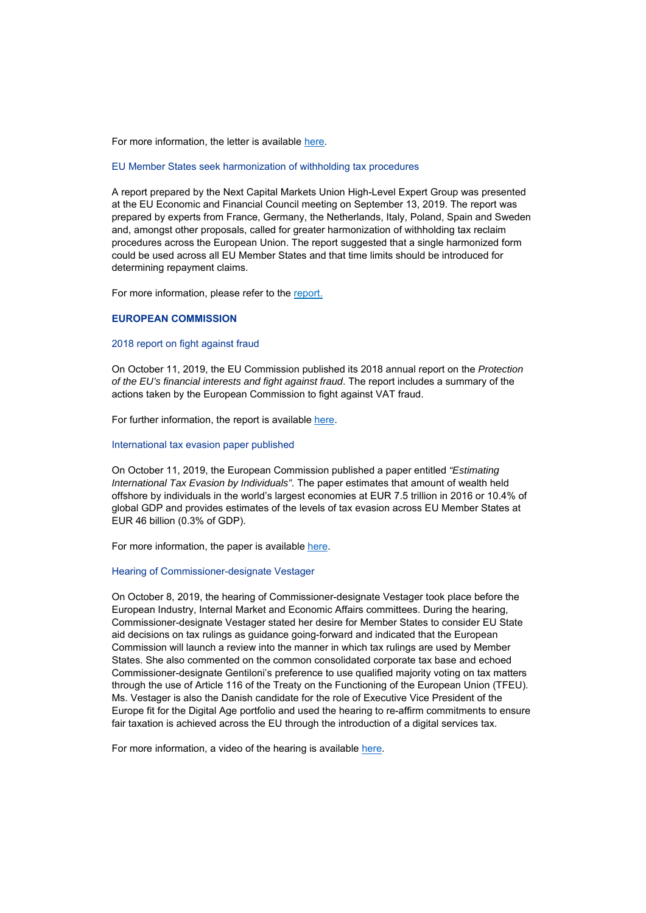For more information, the letter is available here.

### EU Member States seek harmonization of withholding tax procedures

A report prepared by the Next Capital Markets Union High-Level Expert Group was presented at the EU Economic and Financial Council meeting on September 13, 2019. The report was prepared by experts from France, Germany, the Netherlands, Italy, Poland, Spain and Sweden and, amongst other proposals, called for greater harmonization of withholding tax reclaim procedures across the European Union. The report suggested that a single harmonized form could be used across all EU Member States and that time limits should be introduced for determining repayment claims.

For more information, please refer to the report.

# **EUROPEAN COMMISSION**

### 2018 report on fight against fraud

On October 11, 2019, the EU Commission published its 2018 annual report on the *Protection of the EU's financial interests and fight against fraud*. The report includes a summary of the actions taken by the European Commission to fight against VAT fraud.

For further information, the report is available here.

### International tax evasion paper published

On October 11, 2019, the European Commission published a paper entitled *"Estimating International Tax Evasion by Individuals"*. The paper estimates that amount of wealth held offshore by individuals in the world's largest economies at EUR 7.5 trillion in 2016 or 10.4% of global GDP and provides estimates of the levels of tax evasion across EU Member States at EUR 46 billion (0.3% of GDP).

For more information, the paper is available here.

### Hearing of Commissioner-designate Vestager

On October 8, 2019, the hearing of Commissioner-designate Vestager took place before the European Industry, Internal Market and Economic Affairs committees. During the hearing, Commissioner-designate Vestager stated her desire for Member States to consider EU State aid decisions on tax rulings as guidance going-forward and indicated that the European Commission will launch a review into the manner in which tax rulings are used by Member States. She also commented on the common consolidated corporate tax base and echoed Commissioner-designate Gentiloni's preference to use qualified majority voting on tax matters through the use of Article 116 of the Treaty on the Functioning of the European Union (TFEU). Ms. Vestager is also the Danish candidate for the role of Executive Vice President of the Europe fit for the Digital Age portfolio and used the hearing to re-affirm commitments to ensure fair taxation is achieved across the EU through the introduction of a digital services tax.

For more information, a video of the hearing is available here.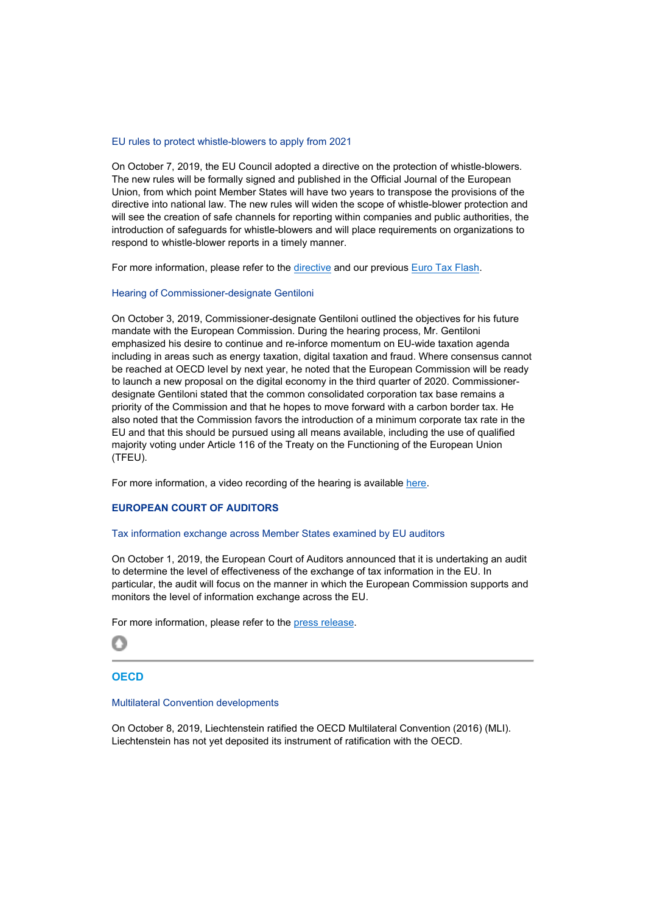# EU rules to protect whistle-blowers to apply from 2021

On October 7, 2019, the EU Council adopted a directive on the protection of whistle-blowers. The new rules will be formally signed and published in the Official Journal of the European Union, from which point Member States will have two years to transpose the provisions of the directive into national law. The new rules will widen the scope of whistle-blower protection and will see the creation of safe channels for reporting within companies and public authorities, the introduction of safeguards for whistle-blowers and will place requirements on organizations to respond to whistle-blower reports in a timely manner.

For more information, please refer to the directive and our previous Euro Tax Flash.

# Hearing of Commissioner-designate Gentiloni

On October 3, 2019, Commissioner-designate Gentiloni outlined the objectives for his future mandate with the European Commission. During the hearing process, Mr. Gentiloni emphasized his desire to continue and re-inforce momentum on EU-wide taxation agenda including in areas such as energy taxation, digital taxation and fraud. Where consensus cannot be reached at OECD level by next year, he noted that the European Commission will be ready to launch a new proposal on the digital economy in the third quarter of 2020. Commissionerdesignate Gentiloni stated that the common consolidated corporation tax base remains a priority of the Commission and that he hopes to move forward with a carbon border tax. He also noted that the Commission favors the introduction of a minimum corporate tax rate in the EU and that this should be pursued using all means available, including the use of qualified majority voting under Article 116 of the Treaty on the Functioning of the European Union (TFEU).

For more information, a video recording of the hearing is available here.

# **EUROPEAN COURT OF AUDITORS**

# Tax information exchange across Member States examined by EU auditors

On October 1, 2019, the European Court of Auditors announced that it is undertaking an audit to determine the level of effectiveness of the exchange of tax information in the EU. In particular, the audit will focus on the manner in which the European Commission supports and monitors the level of information exchange across the EU.

For more information, please refer to the press release.



# **OECD**

### Multilateral Convention developments

On October 8, 2019, Liechtenstein ratified the OECD Multilateral Convention (2016) (MLI). Liechtenstein has not yet deposited its instrument of ratification with the OECD.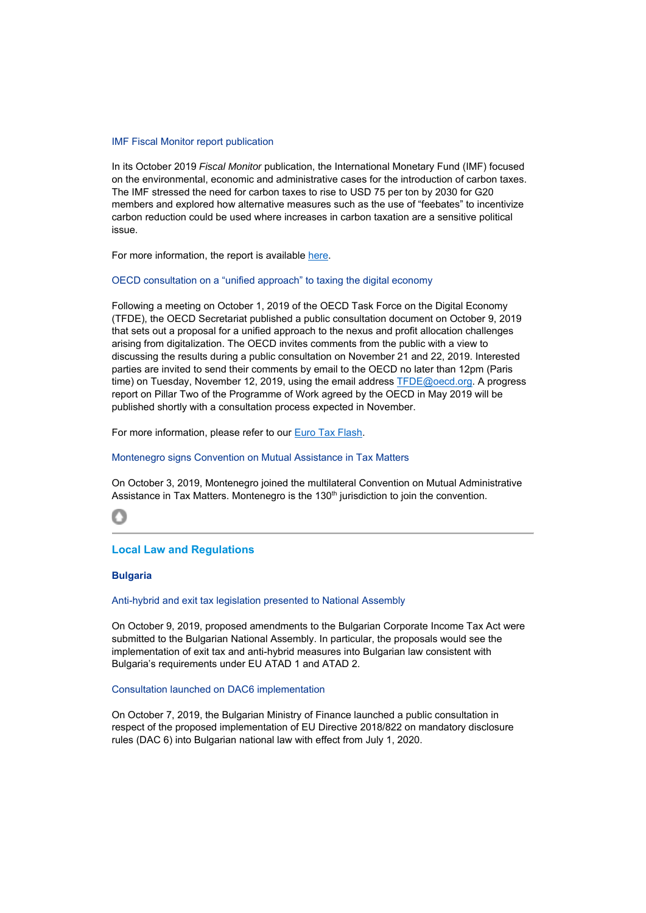### IMF Fiscal Monitor report publication

In its October 2019 *Fiscal Monitor* publication, the International Monetary Fund (IMF) focused on the environmental, economic and administrative cases for the introduction of carbon taxes. The IMF stressed the need for carbon taxes to rise to USD 75 per ton by 2030 for G20 members and explored how alternative measures such as the use of "feebates" to incentivize carbon reduction could be used where increases in carbon taxation are a sensitive political issue.

For more information, the report is available here.

# OECD consultation on a "unified approach" to taxing the digital economy

Following a meeting on October 1, 2019 of the OECD Task Force on the Digital Economy (TFDE), the OECD Secretariat published a public consultation document on October 9, 2019 that sets out a proposal for a unified approach to the nexus and profit allocation challenges arising from digitalization. The OECD invites comments from the public with a view to discussing the results during a public consultation on November 21 and 22, 2019. Interested parties are invited to send their comments by email to the OECD no later than 12pm (Paris time) on Tuesday, November 12, 2019, using the email address TFDE@oecd.org. A progress report on Pillar Two of the Programme of Work agreed by the OECD in May 2019 will be published shortly with a consultation process expected in November.

For more information, please refer to our Euro Tax Flash.

### Montenegro signs Convention on Mutual Assistance in Tax Matters

On October 3, 2019, Montenegro joined the multilateral Convention on Mutual Administrative Assistance in Tax Matters. Montenegro is the 130<sup>th</sup> jurisdiction to join the convention.

# റ

# **Local Law and Regulations**

# **Bulgaria**

# Anti-hybrid and exit tax legislation presented to National Assembly

On October 9, 2019, proposed amendments to the Bulgarian Corporate Income Tax Act were submitted to the Bulgarian National Assembly. In particular, the proposals would see the implementation of exit tax and anti-hybrid measures into Bulgarian law consistent with Bulgaria's requirements under EU ATAD 1 and ATAD 2.

### Consultation launched on DAC6 implementation

On October 7, 2019, the Bulgarian Ministry of Finance launched a public consultation in respect of the proposed implementation of EU Directive 2018/822 on mandatory disclosure rules (DAC 6) into Bulgarian national law with effect from July 1, 2020.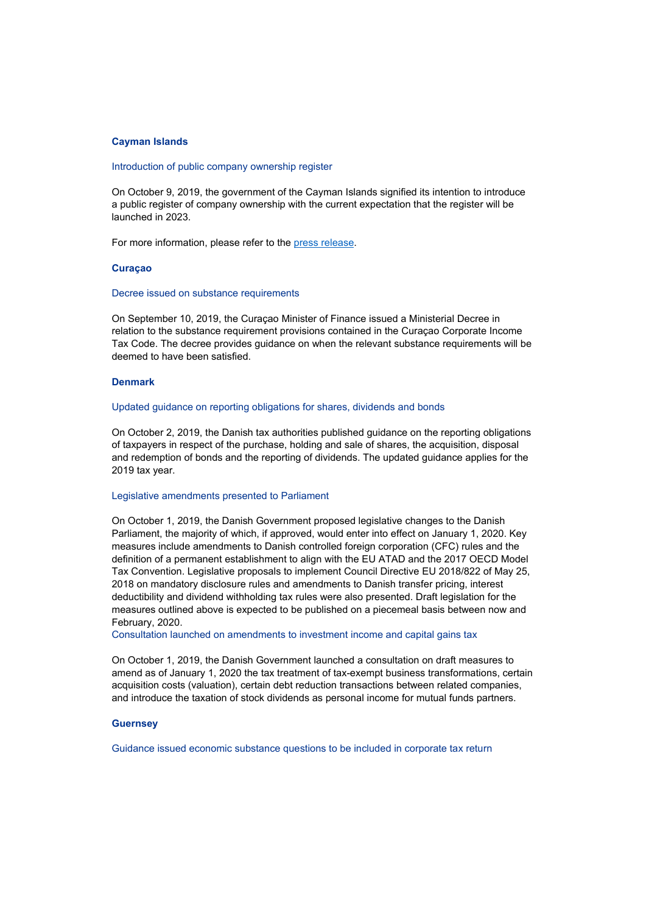# **Cayman Islands**

### Introduction of public company ownership register

On October 9, 2019, the government of the Cayman Islands signified its intention to introduce a public register of company ownership with the current expectation that the register will be launched in 2023.

For more information, please refer to the press release.

### **Curaçao**

### Decree issued on substance requirements

On September 10, 2019, the Curaçao Minister of Finance issued a Ministerial Decree in relation to the substance requirement provisions contained in the Curaçao Corporate Income Tax Code. The decree provides guidance on when the relevant substance requirements will be deemed to have been satisfied.

# **Denmark**

### Updated guidance on reporting obligations for shares, dividends and bonds

On October 2, 2019, the Danish tax authorities published guidance on the reporting obligations of taxpayers in respect of the purchase, holding and sale of shares, the acquisition, disposal and redemption of bonds and the reporting of dividends. The updated guidance applies for the 2019 tax year.

### Legislative amendments presented to Parliament

On October 1, 2019, the Danish Government proposed legislative changes to the Danish Parliament, the majority of which, if approved, would enter into effect on January 1, 2020. Key measures include amendments to Danish controlled foreign corporation (CFC) rules and the definition of a permanent establishment to align with the EU ATAD and the 2017 OECD Model Tax Convention. Legislative proposals to implement Council Directive EU 2018/822 of May 25, 2018 on mandatory disclosure rules and amendments to Danish transfer pricing, interest deductibility and dividend withholding tax rules were also presented. Draft legislation for the measures outlined above is expected to be published on a piecemeal basis between now and February, 2020.

Consultation launched on amendments to investment income and capital gains tax

On October 1, 2019, the Danish Government launched a consultation on draft measures to amend as of January 1, 2020 the tax treatment of tax-exempt business transformations, certain acquisition costs (valuation), certain debt reduction transactions between related companies, and introduce the taxation of stock dividends as personal income for mutual funds partners.

### **Guernsey**

Guidance issued economic substance questions to be included in corporate tax return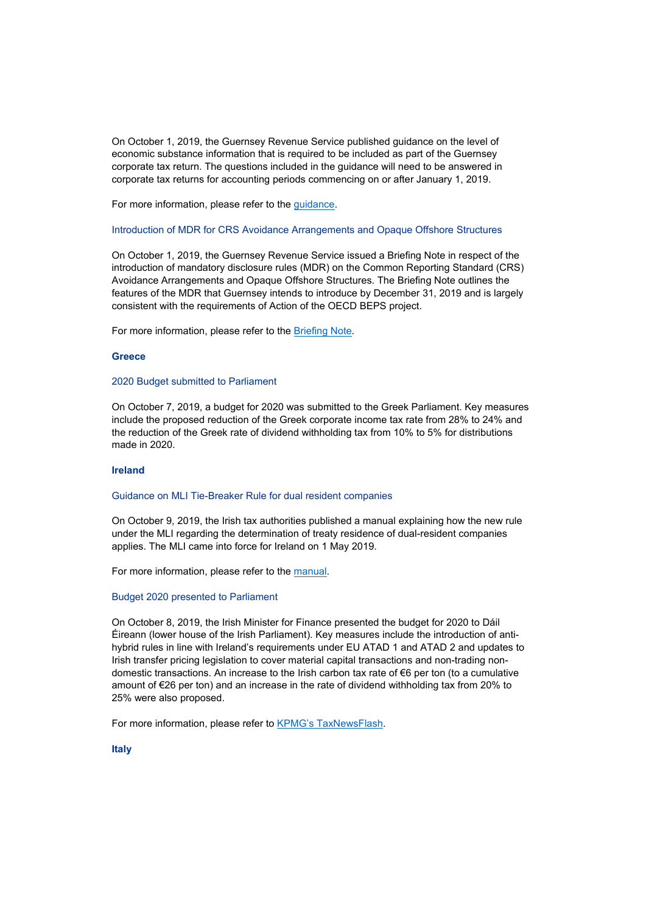On October 1, 2019, the Guernsey Revenue Service published guidance on the level of economic substance information that is required to be included as part of the Guernsey corporate tax return. The questions included in the guidance will need to be answered in corporate tax returns for accounting periods commencing on or after January 1, 2019.

For more information, please refer to the guidance.

### Introduction of MDR for CRS Avoidance Arrangements and Opaque Offshore Structures

On October 1, 2019, the Guernsey Revenue Service issued a Briefing Note in respect of the introduction of mandatory disclosure rules (MDR) on the Common Reporting Standard (CRS) Avoidance Arrangements and Opaque Offshore Structures. The Briefing Note outlines the features of the MDR that Guernsey intends to introduce by December 31, 2019 and is largely consistent with the requirements of Action of the OECD BEPS project.

For more information, please refer to the Briefing Note.

### **Greece**

### 2020 Budget submitted to Parliament

On October 7, 2019, a budget for 2020 was submitted to the Greek Parliament. Key measures include the proposed reduction of the Greek corporate income tax rate from 28% to 24% and the reduction of the Greek rate of dividend withholding tax from 10% to 5% for distributions made in 2020.

# **Ireland**

### Guidance on MLI Tie-Breaker Rule for dual resident companies

On October 9, 2019, the Irish tax authorities published a manual explaining how the new rule under the MLI regarding the determination of treaty residence of dual-resident companies applies. The MLI came into force for Ireland on 1 May 2019.

For more information, please refer to the manual.

### Budget 2020 presented to Parliament

On October 8, 2019, the Irish Minister for Finance presented the budget for 2020 to Dáil Éireann (lower house of the Irish Parliament). Key measures include the introduction of antihybrid rules in line with Ireland's requirements under EU ATAD 1 and ATAD 2 and updates to Irish transfer pricing legislation to cover material capital transactions and non-trading nondomestic transactions. An increase to the Irish carbon tax rate of €6 per ton (to a cumulative amount of €26 per ton) and an increase in the rate of dividend withholding tax from 20% to 25% were also proposed.

For more information, please refer to KPMG's TaxNewsFlash.

**Italy**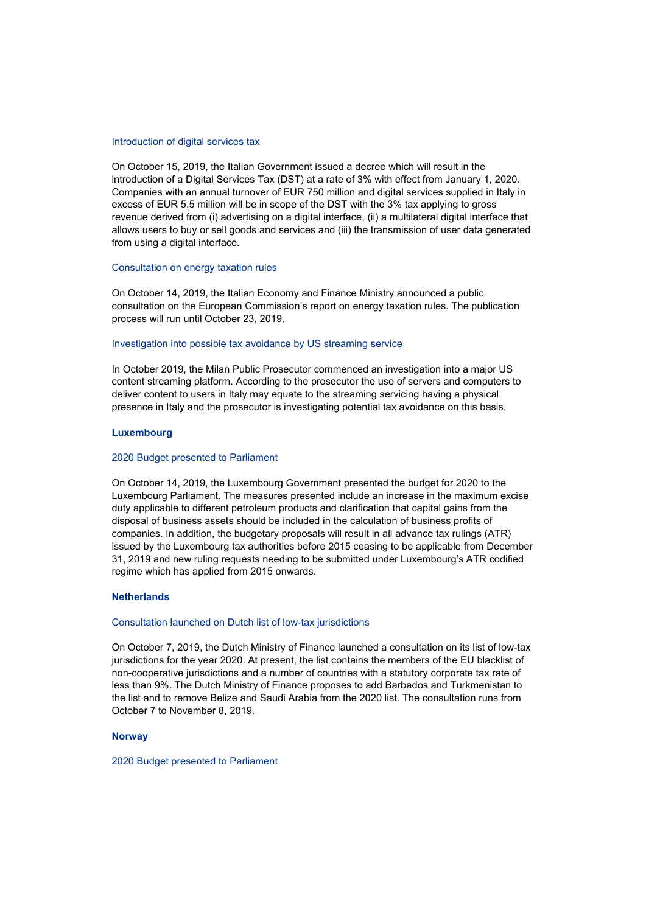### Introduction of digital services tax

On October 15, 2019, the Italian Government issued a decree which will result in the introduction of a Digital Services Tax (DST) at a rate of 3% with effect from January 1, 2020. Companies with an annual turnover of EUR 750 million and digital services supplied in Italy in excess of EUR 5.5 million will be in scope of the DST with the 3% tax applying to gross revenue derived from (i) advertising on a digital interface, (ii) a multilateral digital interface that allows users to buy or sell goods and services and (iii) the transmission of user data generated from using a digital interface.

# Consultation on energy taxation rules

On October 14, 2019, the Italian Economy and Finance Ministry announced a public consultation on the European Commission's report on energy taxation rules. The publication process will run until October 23, 2019.

### Investigation into possible tax avoidance by US streaming service

In October 2019, the Milan Public Prosecutor commenced an investigation into a major US content streaming platform. According to the prosecutor the use of servers and computers to deliver content to users in Italy may equate to the streaming servicing having a physical presence in Italy and the prosecutor is investigating potential tax avoidance on this basis.

# **Luxembourg**

# 2020 Budget presented to Parliament

On October 14, 2019, the Luxembourg Government presented the budget for 2020 to the Luxembourg Parliament. The measures presented include an increase in the maximum excise duty applicable to different petroleum products and clarification that capital gains from the disposal of business assets should be included in the calculation of business profits of companies. In addition, the budgetary proposals will result in all advance tax rulings (ATR) issued by the Luxembourg tax authorities before 2015 ceasing to be applicable from December 31, 2019 and new ruling requests needing to be submitted under Luxembourg's ATR codified regime which has applied from 2015 onwards.

### **Netherlands**

### Consultation launched on Dutch list of low-tax jurisdictions

On October 7, 2019, the Dutch Ministry of Finance launched a consultation on its list of low-tax jurisdictions for the year 2020. At present, the list contains the members of the EU blacklist of non-cooperative jurisdictions and a number of countries with a statutory corporate tax rate of less than 9%. The Dutch Ministry of Finance proposes to add Barbados and Turkmenistan to the list and to remove Belize and Saudi Arabia from the 2020 list. The consultation runs from October 7 to November 8, 2019.

### **Norway**

2020 Budget presented to Parliament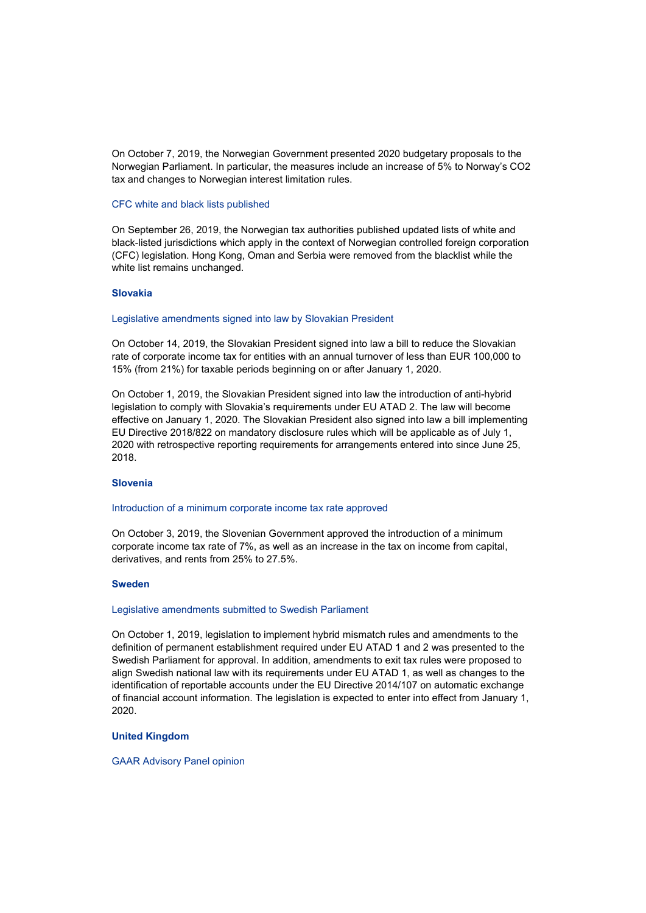On October 7, 2019, the Norwegian Government presented 2020 budgetary proposals to the Norwegian Parliament. In particular, the measures include an increase of 5% to Norway's CO2 tax and changes to Norwegian interest limitation rules.

### CFC white and black lists published

On September 26, 2019, the Norwegian tax authorities published updated lists of white and black-listed jurisdictions which apply in the context of Norwegian controlled foreign corporation (CFC) legislation. Hong Kong, Oman and Serbia were removed from the blacklist while the white list remains unchanged.

# **Slovakia**

### Legislative amendments signed into law by Slovakian President

On October 14, 2019, the Slovakian President signed into law a bill to reduce the Slovakian rate of corporate income tax for entities with an annual turnover of less than EUR 100,000 to 15% (from 21%) for taxable periods beginning on or after January 1, 2020.

On October 1, 2019, the Slovakian President signed into law the introduction of anti-hybrid legislation to comply with Slovakia's requirements under EU ATAD 2. The law will become effective on January 1, 2020. The Slovakian President also signed into law a bill implementing EU Directive 2018/822 on mandatory disclosure rules which will be applicable as of July 1, 2020 with retrospective reporting requirements for arrangements entered into since June 25, 2018.

# **Slovenia**

# Introduction of a minimum corporate income tax rate approved

On October 3, 2019, the Slovenian Government approved the introduction of a minimum corporate income tax rate of 7%, as well as an increase in the tax on income from capital, derivatives, and rents from 25% to 27.5%.

### **Sweden**

### Legislative amendments submitted to Swedish Parliament

On October 1, 2019, legislation to implement hybrid mismatch rules and amendments to the definition of permanent establishment required under EU ATAD 1 and 2 was presented to the Swedish Parliament for approval. In addition, amendments to exit tax rules were proposed to align Swedish national law with its requirements under EU ATAD 1, as well as changes to the identification of reportable accounts under the EU Directive 2014/107 on automatic exchange of financial account information. The legislation is expected to enter into effect from January 1, 2020.

# **United Kingdom**

### GAAR Advisory Panel opinion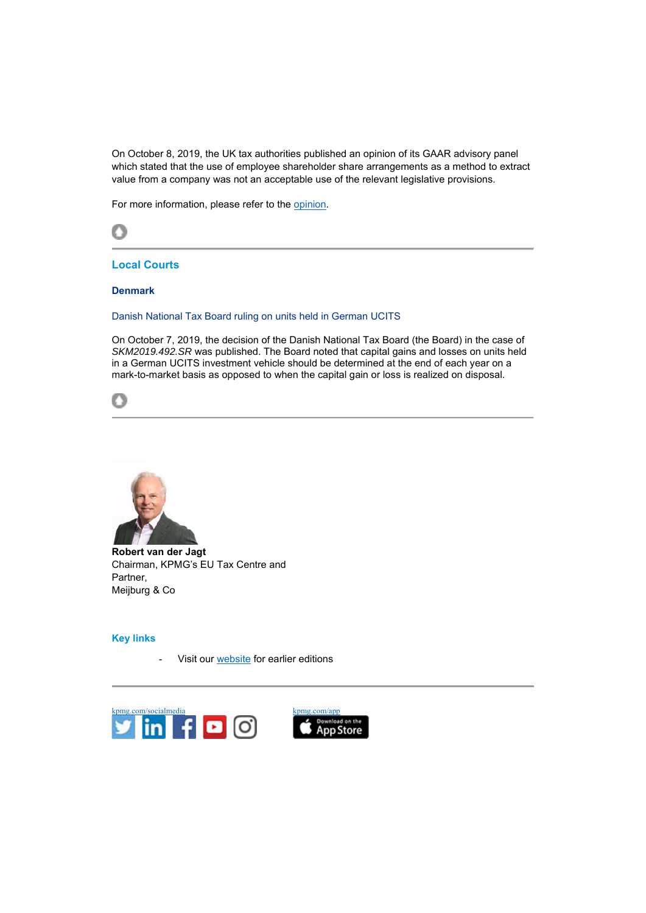On October 8, 2019, the UK tax authorities published an opinion of its GAAR advisory panel which stated that the use of employee shareholder share arrangements as a method to extract value from a company was not an acceptable use of the relevant legislative provisions.

For more information, please refer to the opinion.



**Local Courts** 

# **Denmark**

Danish National Tax Board ruling on units held in German UCITS

On October 7, 2019, the decision of the Danish National Tax Board (the Board) in the case of *SKM2019.492.SR* was published. The Board noted that capital gains and losses on units held in a German UCITS investment vehicle should be determined at the end of each year on a mark-to-market basis as opposed to when the capital gain or loss is realized on disposal.





**Robert van der Jagt** Chairman, KPMG's EU Tax Centre and Partner, Meijburg & Co

# **Key links**

Visit our website for earlier editions